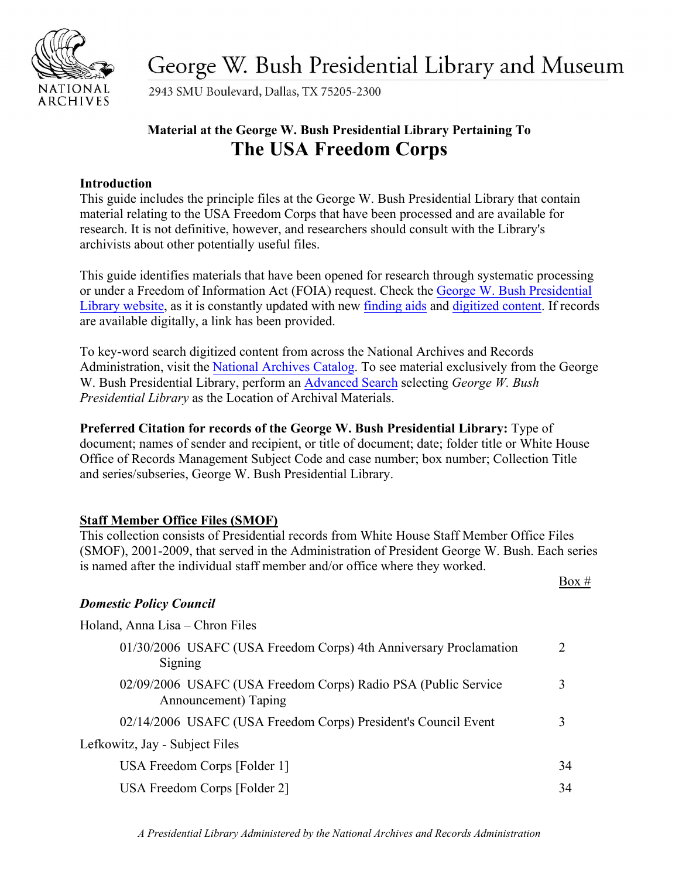

George W. Bush Presidential Library and Museum

2943 SMU Boulevard, Dallas, TX 75205-2300

# **Material at the George W. Bush Presidential Library Pertaining To The USA Freedom Corps**

### **Introduction**

This guide includes the principle files at the George W. Bush Presidential Library that contain material relating to the USA Freedom Corps that have been processed and are available for research. It is not definitive, however, and researchers should consult with the Library's archivists about other potentially useful files.

This guide identifies materials that have been opened for research through systematic processing or under a Freedom of Information Act (FOIA) request. Check the [George W. Bush Presidential](https://www.georgewbushlibrary.gov) [Library website,](https://www.georgewbushlibrary.gov/) as it is constantly updated with new [finding aids](https://www.georgewbushlibrary.gov/research/finding-aids) and [digitized content.](https://www.georgewbushlibrary.gov/research/records-search) If records are available digitally, a link has been provided.

To key-word search digitized content from across the National Archives and Records Administration, visit the [National Archives Catalog.](https://catalog.archives.gov/) To see material exclusively from the George W. Bush Presidential Library, perform an [Advanced Search](https://catalog.archives.gov/advancedsearch) selecting *George W. Bush Presidential Library* as the Location of Archival Materials.

**Preferred Citation for records of the George W. Bush Presidential Library:** Type of document; names of sender and recipient, or title of document; date; folder title or White House Office of Records Management Subject Code and case number; box number; Collection Title and series/subseries, George W. Bush Presidential Library.

### **Staff Member Office Files (SMOF)**

This collection consists of Presidential records from White House Staff Member Office Files (SMOF), 2001-2009, that served in the Administration of President George W. Bush. Each series is named after the individual staff member and/or office where they worked.

Box #

### *Domestic Policy Council*

| Holand, Anna Lisa – Chron Files                                                        |    |
|----------------------------------------------------------------------------------------|----|
| 01/30/2006 USAFC (USA Freedom Corps) 4th Anniversary Proclamation<br>Signing           |    |
| 02/09/2006 USAFC (USA Freedom Corps) Radio PSA (Public Service<br>Announcement) Taping |    |
| 02/14/2006 USAFC (USA Freedom Corps) President's Council Event                         |    |
| Lefkowitz, Jay - Subject Files                                                         |    |
| USA Freedom Corps [Folder 1]                                                           | 34 |
| USA Freedom Corps [Folder 2]                                                           | 34 |

*A Presidential Library Administered by the National Archives and Records Administration*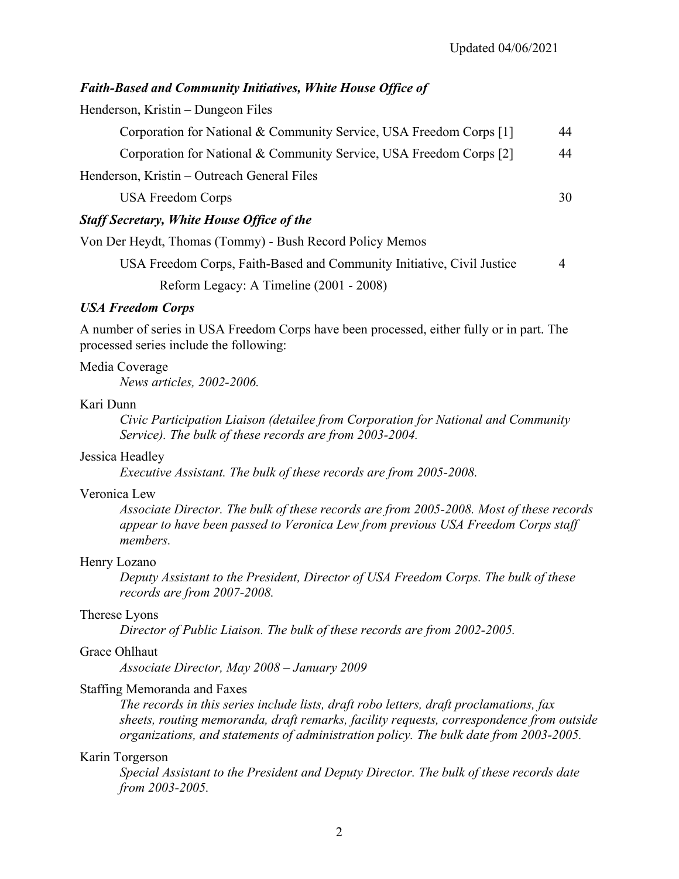#### *Faith-Based and Community Initiatives, White House Office of*

Henderson, Kristin – Dungeon Files

| Corporation for National & Community Service, USA Freedom Corps [1] | 44 |
|---------------------------------------------------------------------|----|
| Corporation for National & Community Service, USA Freedom Corps [2] | 44 |
| Henderson, Kristin – Outreach General Files                         |    |
| <b>USA Freedom Corps</b>                                            | 30 |

#### *Staff Secretary, White House Office of the*

Von Der Heydt, Thomas (Tommy) - Bush Record Policy Memos

USA Freedom Corps, Faith-Based and Community Initiative, Civil Justice 4 Reform Legacy: A Timeline (2001 - 2008)

#### *USA Freedom Corps*

A number of series in USA Freedom Corps have been processed, either fully or in part. The processed series include the following:

#### Media Coverage

*News articles, 2002-2006.*

#### Kari Dunn

*Civic Participation Liaison (detailee from Corporation for National and Community Service). The bulk of these records are from 2003-2004.*

#### Jessica Headley

*Executive Assistant. The bulk of these records are from 2005-2008.*

#### Veronica Lew

*Associate Director. The bulk of these records are from 2005-2008. Most of these records appear to have been passed to Veronica Lew from previous USA Freedom Corps staff members.*

#### Henry Lozano

*Deputy Assistant to the President, Director of USA Freedom Corps. The bulk of these records are from 2007-2008.*

#### Therese Lyons

*Director of Public Liaison. The bulk of these records are from 2002-2005.*

#### Grace Ohlhaut

*Associate Director, May 2008 – January 2009*

#### Staffing Memoranda and Faxes

*The records in this series include lists, draft robo letters, draft proclamations, fax sheets, routing memoranda, draft remarks, facility requests, correspondence from outside organizations, and statements of administration policy. The bulk date from 2003-2005.*

#### Karin Torgerson

*Special Assistant to the President and Deputy Director. The bulk of these records date from 2003-2005.*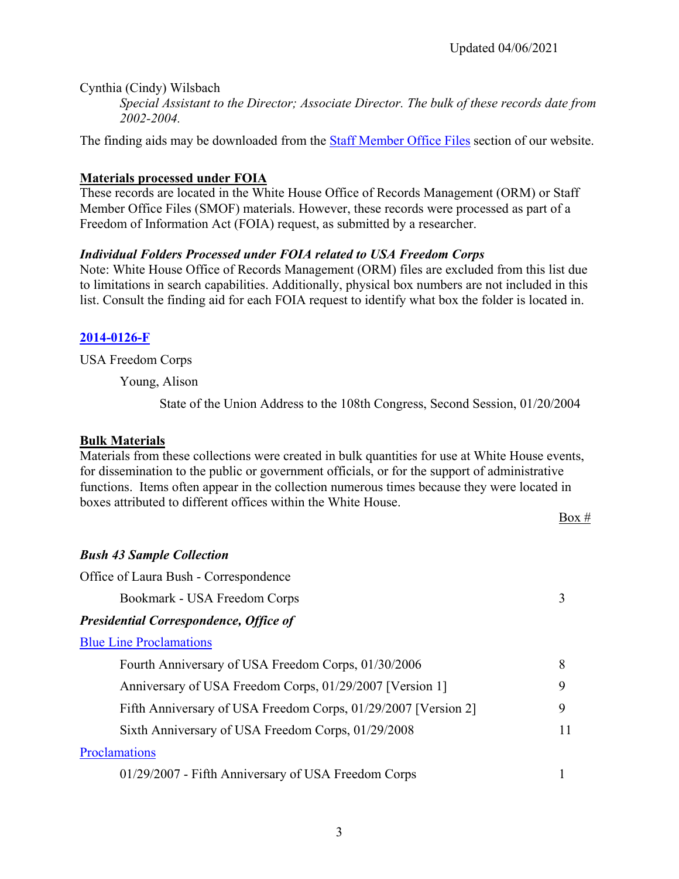Cynthia (Cindy) Wilsbach

*Special Assistant to the Director; Associate Director. The bulk of these records date from 2002-2004.*

The finding aids may be downloaded from the **Staff Member Office [Files](https://georgewbushlibrary.smu.edu/Research/Finding-Aids/White-House-Staff)** section of our website.

### **Materials processed under FOIA**

These records are located in the White House Office of Records Management (ORM) or Staff Member Office Files (SMOF) materials. However, these records were processed as part of a Freedom of Information Act (FOIA) request, as submitted by a researcher.

### *Individual Folders Processed under FOIA related to USA Freedom Corps*

Note: White House Office of Records Management (ORM) files are excluded from this list due to limitations in search capabilities. Additionally, physical box numbers are not included in this list. Consult the finding aid for each FOIA request to identify what box the folder is located in.

### **[2014-0126-F](https://catalog.archives.gov/id/90547768)**

USA Freedom Corps

Young, Alison

State of the Union Address to the 108th Congress, Second Session, 01/20/2004

### **Bulk Materials**

Materials from these collections were created in bulk quantities for use at White House events, for dissemination to the public or government officials, or for the support of administrative functions. Items often appear in the collection numerous times because they were located in boxes attributed to different offices within the White House.

Box #

### *Bush 43 Sample Collection*

| Office of Laura Bush - Correspondence                          |    |
|----------------------------------------------------------------|----|
| Bookmark - USA Freedom Corps                                   |    |
| <b>Presidential Correspondence, Office of</b>                  |    |
| <b>Blue Line Proclamations</b>                                 |    |
| Fourth Anniversary of USA Freedom Corps, 01/30/2006            | 8  |
| Anniversary of USA Freedom Corps, 01/29/2007 [Version 1]       | 9  |
| Fifth Anniversary of USA Freedom Corps, 01/29/2007 [Version 2] | 9  |
| Sixth Anniversary of USA Freedom Corps, 01/29/2008             | 11 |
| Proclamations                                                  |    |
| 01/29/2007 - Fifth Anniversary of USA Freedom Corps            |    |